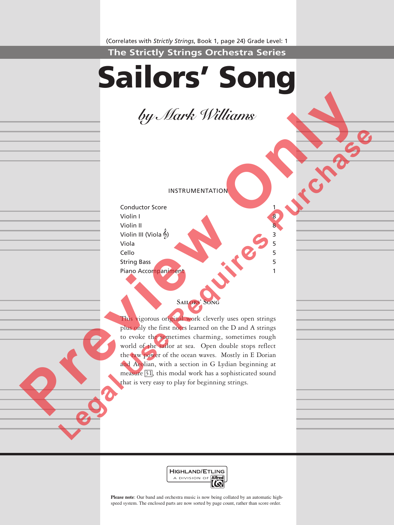### **The Strictly Strings Orchestra Series**

# Sailors' Song

*by Mark Williams*

#### **INSTRUMENTATION**

Conductor Score 1<br>Violin I<br>Violin II Violin I 8 Violin II Violin III (Viola  $\frac{1}{9}$ )<br>Viola 3 Viola 5 Cello **5 1999 1999 1999 1999 1999 1999 1999 1999 1999 1999 1999 1999** String Bass 5

Piano Accompaniment 1

#### SAILORS'

This vigorous original work cleverly uses open strings plus only the first notes learned on the D and A strings to evoke the sometimes charming, sometimes rough world of the sailor at sea. Open double stops reflect the raw power of the ocean waves. Mostly in E Dorian and Aeolian, with a section in G Lydian beginning at measure  $\overline{31}$ , this modal work has a sophisticated sound that is very easy to play for beginning strings. **Preview Only of Parties School Service Description Conduction Service Description Conduction Conduction Conduction Conduction Conduction Conduction Conduction Conduction Conduction Conduction Conduction Conduction Conduct** ECO CONSTRUMENTATION<br>
INSTRUMENTATION<br>
Violin II<br>
Violin II (Viola  $\frac{1}{\sqrt{2}}$ )<br>
Viola Conductor Score<br>
Viola Conductor Score<br>
Viola Conductor Score<br>
Sample Action Conduction in C. Joseph Conduction<br>
Sample Conduction Con



**Please note**: Our band and orchestra music is now being collated by an automatic highspeed system. The enclosed parts are now sorted by page count, rather than score order.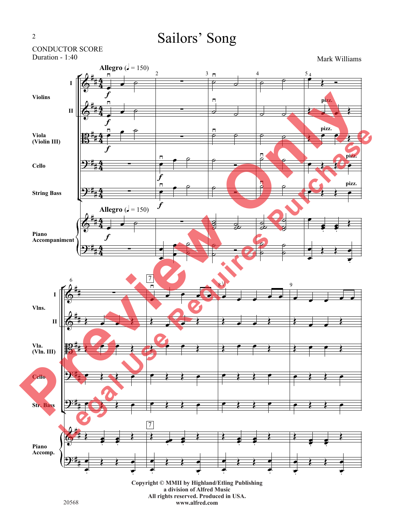## Sailors' Song



All rights reserved. Produced in USA.

alfred.com 20568 **www.alfred.com** 20568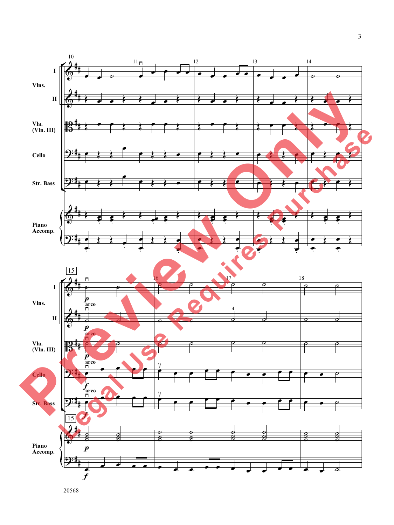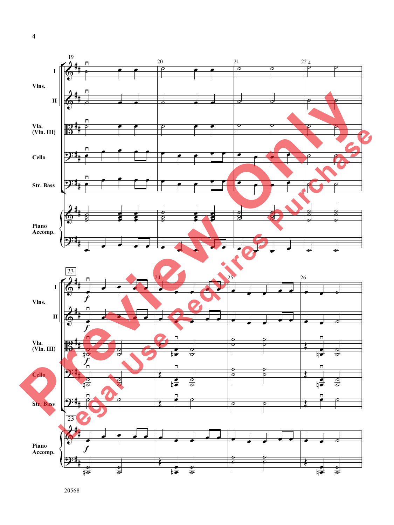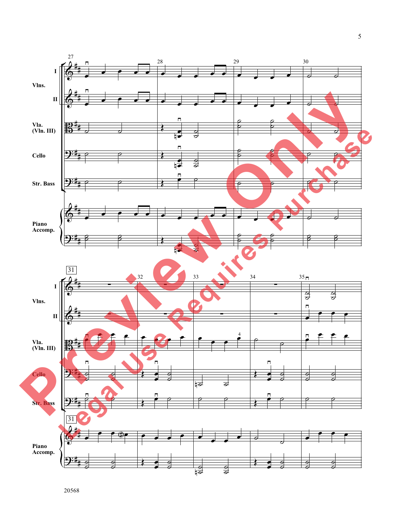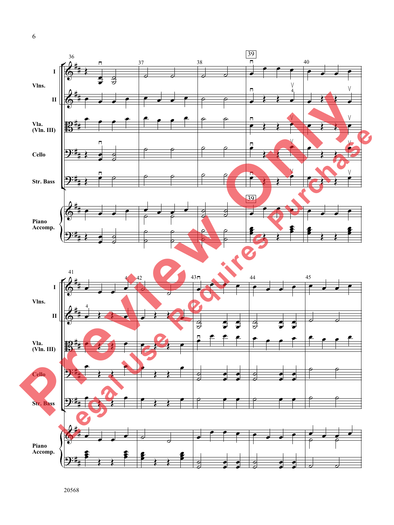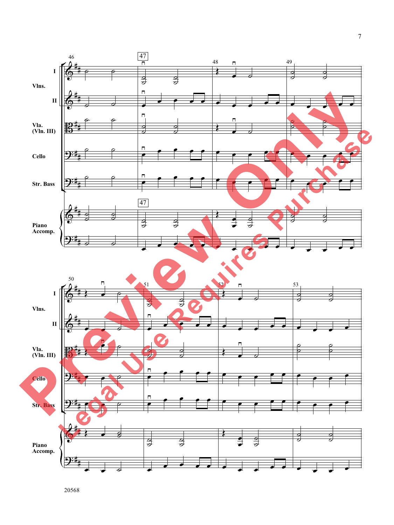